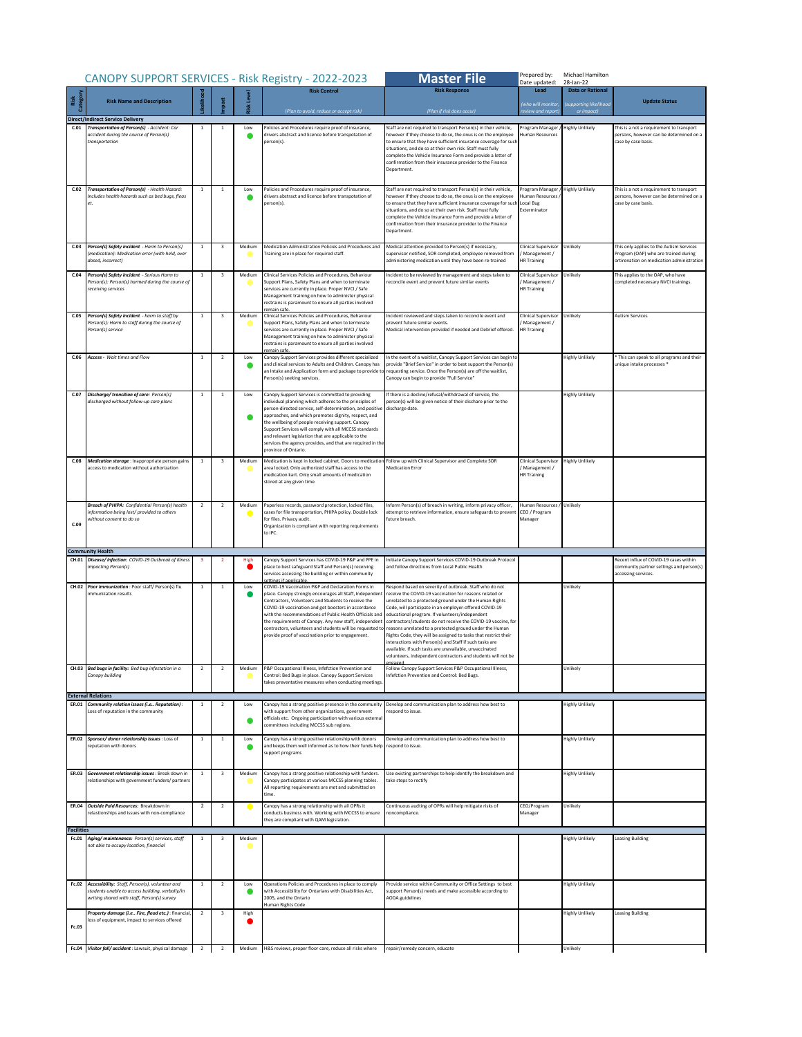|                            | CANOPY SUPPORT SERVICES - Risk Registry - 2022-2023                                                                                             |                |                         |        |                                                                                                                                                                                                                                                                                                                                                                                                                                                                                            | <b>Master File</b>                                                                                                                                                                                                                                                                                                                                                                                                                                                                                                                                                                                                                                                                     | Prepared by:<br>Michael Hamilton<br>Date updated:<br>28-Jan-22   |                                                   |                                                                                                                               |
|----------------------------|-------------------------------------------------------------------------------------------------------------------------------------------------|----------------|-------------------------|--------|--------------------------------------------------------------------------------------------------------------------------------------------------------------------------------------------------------------------------------------------------------------------------------------------------------------------------------------------------------------------------------------------------------------------------------------------------------------------------------------------|----------------------------------------------------------------------------------------------------------------------------------------------------------------------------------------------------------------------------------------------------------------------------------------------------------------------------------------------------------------------------------------------------------------------------------------------------------------------------------------------------------------------------------------------------------------------------------------------------------------------------------------------------------------------------------------|------------------------------------------------------------------|---------------------------------------------------|-------------------------------------------------------------------------------------------------------------------------------|
| Risk<br>tegor              | <b>Risk Name and Description</b>                                                                                                                |                |                         |        | <b>Risk Control</b>                                                                                                                                                                                                                                                                                                                                                                                                                                                                        | <b>Risk Response</b>                                                                                                                                                                                                                                                                                                                                                                                                                                                                                                                                                                                                                                                                   | Lead<br>(who will monitor                                        | <b>Data or Rational</b><br>(supporting likelihood | <b>Update Status</b>                                                                                                          |
|                            | <b>Direct/Indirect Service Delivery</b>                                                                                                         |                |                         |        | (Plan to avoid, reduce or accept risk)                                                                                                                                                                                                                                                                                                                                                                                                                                                     | (Plan if risk does occur)                                                                                                                                                                                                                                                                                                                                                                                                                                                                                                                                                                                                                                                              | review and report,                                               | or impact)                                        |                                                                                                                               |
|                            | C.01 Transportation of Person(s) - Accident: Car<br>accident during the course of Person(s)<br>transportation                                   | $1\,$          | $\mathbf{1}$            | Low    | Policies and Procedures require proof of insurance,<br>drivers abstract and licence before transpotation of<br>person(s)                                                                                                                                                                                                                                                                                                                                                                   | Staff are not required to transport Person(s) in their vehicle,<br>however if they choose to do so, the onus is on the employee<br>to ensure that they have sufficient insurance coverage for such<br>situations, and do so at their own risk. Staff must fully<br>complete the Vehicle Insurance Form and provide a letter of<br>confirmation from their insurance provider to the Finance<br>Department.                                                                                                                                                                                                                                                                             | Program Manager /<br><b>Human Resources</b>                      | <b>Highly Unlikely</b>                            | This is a not a requirement to transport<br>persons, however can be determined on a<br>case by case basis.                    |
| C.02                       | Transportation of Person(s) - Health Hazard:<br>Includes health hazards such as bed bugs, fleas<br>et.                                          | $\mathbf{1}$   | $\,$ 1                  | Low    | Policies and Procedures require proof of insurance,<br>drivers abstract and licence before transpotation of<br>person(s)                                                                                                                                                                                                                                                                                                                                                                   | Staff are not required to transport Person(s) in their vehicle,<br>however if they choose to do so, the onus is on the employee<br>to ensure that they have sufficient insurance coverage for such<br>situations, and do so at their own risk. Staff must fully<br>complete the Vehicle Insurance Form and provide a letter of<br>confirmation from their insurance provider to the Finance<br>Department.                                                                                                                                                                                                                                                                             | Program Manager<br>Human Resources<br>Local Bug<br>Exterminator  | <b>Highly Unlikely</b>                            | This is a not a requirement to transport<br>persons, however can be determined on a<br>case by case basis.                    |
| C.03                       | Person(s) Safety incident - Harm to Person(s)<br>medication): Medication error (with held, over<br>losed, incorrect)                            | $\mathbf{1}$   | $\overline{\mathbf{3}}$ | Medium | Medication Administration Policies and Procedures and<br>Fraining are in place for required staff.                                                                                                                                                                                                                                                                                                                                                                                         | Medical attention provided to Person(s) if necessary,<br>supervisor notified, SOR completed, employee removed from<br>administering medication until they have been re-trained                                                                                                                                                                                                                                                                                                                                                                                                                                                                                                         | Clinical Supervisor<br>Management /<br><b>HR Training</b>        | Unlikely                                          | This only applies to the Autism Services<br>Program (OAP) who are trained during<br>ortirenation on medication administration |
| C.04                       | Person(s) Safety incident - Serious Harm to<br>Person(s): Person(s) harmed during the course of<br>receiving services                           | $\mathbf{1}$   | $\overline{\mathbf{3}}$ | Medium | Clinical Services Policies and Procedures, Behaviour<br>Support Plans, Safety Plans and when to terminate<br>services are currently in place. Proper NVCI / Safe<br>Management training on how to administer physical<br>restrains is paramount to ensure all parties involved<br>remain safe                                                                                                                                                                                              | Incident to be reviewed by management and steps taken to<br>econcile event and prevent future similar events                                                                                                                                                                                                                                                                                                                                                                                                                                                                                                                                                                           | Clinical Supervisor<br>Management /<br><b>HR Training</b>        | Unlikely                                          | This applies to the OAP, who have<br>completed neceesary NVCI trainings.                                                      |
|                            | C.05 Person(s) Safety incident - harm to staff by<br>Person(s): Harm to staff during the course of<br>Person(s) service                         | <sup>1</sup>   | $\overline{\mathbf{3}}$ | Medium | Clinical Services Policies and Procedures, Behaviour<br>Support Plans, Safety Plans and when to terminate<br>services are currently in place. Proper NVCI / Safe<br>Management training on how to administer physical<br>restrains is paramount to ensure all parties involved<br>remain safe.                                                                                                                                                                                             | Incident reviewed and steps taken to reconcile event and<br>prevent future similar events.<br>Medical intervention provided if needed and Debrief offered.                                                                                                                                                                                                                                                                                                                                                                                                                                                                                                                             | <b>Clinical Supervisor</b><br>Management /<br><b>HR Training</b> | Unlikely                                          | <b>Autism Services</b>                                                                                                        |
| C.06                       | <b>Access</b> - Wait times and Flow                                                                                                             | $\mathbf{1}$   | $\overline{2}$          | Low    | Canopy Support Services provides different specialized<br>and clinical services to Adults and Children. Canopy has<br>an Intake and Application form and package to provide to<br>Person(s) seeking services.                                                                                                                                                                                                                                                                              | In the event of a waitlist, Canopy Support Services can begin to<br>provide "Brief Service" in order to best support the Person(s)<br>requesting service. Once the Person(s) are off the waitlist,<br>Canopy can begin to provide "Full Service"                                                                                                                                                                                                                                                                                                                                                                                                                                       |                                                                  | <b>Highly Unlikely</b>                            | This can speak to all programs and their<br>unique intake processes *                                                         |
|                            | C.07 Discharge/transition of care: Person(s)<br>discharged without follow-up care plans                                                         | <sup>1</sup>   | <sup>1</sup>            | Low    | Canopy Support Services is committed to providing<br>individual planning which adheres to the principles of<br>person-directed service, self-determination, and positive<br>approaches, and which promotes dignity, respect, and<br>the wellbeing of people receiving support. Canopy<br>Support Services will comply with all MCCSS standards<br>and relevant legislation that are applicable to the<br>services the agency provides, and that are required in the<br>province of Ontario | If there is a decline/refusal/withdrawal of service, the<br>person(s) will be given notice of their dischare prior to the<br>discharge date                                                                                                                                                                                                                                                                                                                                                                                                                                                                                                                                            |                                                                  | <b>Highly Unlikely</b>                            |                                                                                                                               |
| C.08                       | Medication storage : Inappropriate person gains<br>access to medication without authorization                                                   | 1              | $\overline{\mathbf{3}}$ | Medium | Medication is kept in locked cabinet. Doors to medication Follow up with Clinical Supervisor and Complete SOR<br>area locked. Only authorized staff has access to the<br>medication kart. Only small amounts of medication<br>stored at any given time.                                                                                                                                                                                                                                    | <b>Medication Error</b>                                                                                                                                                                                                                                                                                                                                                                                                                                                                                                                                                                                                                                                                | <b>Clinical Supervisor</b><br>Management /<br><b>HR Training</b> | <b>Highly Unlikely</b>                            |                                                                                                                               |
| C.09                       | <b>Breach of PHIPA:</b> Confidential Person(s) health<br>information being lost/provided to others<br>vithout consent to do so                  | $\overline{2}$ | $\overline{2}$          | Medium | Paperless records, password protection, locked files,<br>cases for file transportation, PHIPA policy. Double lock<br>for files. Privacy audit.<br>Organization is compliant with reporting requirements<br>to IPC.                                                                                                                                                                                                                                                                         | Inform Person(s) of breach in writing, inform privacy officer,<br>attempt to retrieve information, ensure safeguards to prevent<br>uture breach                                                                                                                                                                                                                                                                                                                                                                                                                                                                                                                                        | Human Resources / Unlikely<br>CEO / Program<br>Manager           |                                                   |                                                                                                                               |
|                            | <b>Community Health</b>                                                                                                                         |                |                         |        |                                                                                                                                                                                                                                                                                                                                                                                                                                                                                            |                                                                                                                                                                                                                                                                                                                                                                                                                                                                                                                                                                                                                                                                                        |                                                                  |                                                   |                                                                                                                               |
|                            | CH.01 Disease/infection: COVID-19 Outbreak of illness<br>mpacting Person(s)                                                                     |                | 2                       | High   | Canopy Support Services has COVID-19 P&P and PPE in<br>place to best safeguard Staff and Person(s) receiving<br>services accessing the building or within community                                                                                                                                                                                                                                                                                                                        | Initiate Canopy Support Services COVID-19 Outbreak Protocol<br>and follow directions from Local Public Health                                                                                                                                                                                                                                                                                                                                                                                                                                                                                                                                                                          |                                                                  |                                                   | Recent influx of COVID-19 cases within<br>community partner settings and person(s)<br>accessing services.                     |
| CH.02                      | Poor immunization : Poor staff/ Person(s) flu<br>mmunization results                                                                            | $\mathbf{1}$   | <sup>1</sup>            | Low    | COVID-19 Vaccination P&P and Declaration Forms in<br>place. Canopy strongly encourages all Staff, Independen<br>Contractors, Volunteers and Students to receive the<br>COVID-19 vaccination and get boosters in accordance<br>with the recommendations of Public Health Officials and<br>the requirements of Canopy. Any new staff, independent<br>contractors, volunteers and students will be requested to<br>provide proof of vaccination prior to engagement.                          | Respond based on severity of outbreak. Staff who do not<br>receive the COVID-19 vaccination for reasons related or<br>unrelated to a protected ground under the Human Rights<br>Code, will participate in an employer-offered COVID-19<br>educational program. If volunteers/independent<br>contractors/students do not receive the COVID-19 vaccine, for<br>reasons unrelated to a protected ground under the Human<br>lights Code, they will be assigned to tasks that restrict their<br>interactions with Person(s) and Staff if such tasks are<br>available. If such tasks are unavailable, unvaccinated<br>volunteers, independent contractors and students will not be<br>ngager |                                                                  | Unlikely                                          |                                                                                                                               |
|                            | CH.03 Bed bugs in facility: Bed bug infestation in a<br>Canopy building                                                                         |                | $\overline{2}$          | Medium | P&P Occupational Illness, Infefction Prevention and<br>Control: Bed Bugs in place. Canopy Support Services<br>takes preventative measures when conducting meetings                                                                                                                                                                                                                                                                                                                         | Follow Canopy Support Services P&P Occupational Illness,<br>Infefction Prevention and Control: Bed Bugs.                                                                                                                                                                                                                                                                                                                                                                                                                                                                                                                                                                               |                                                                  | Unlikely                                          |                                                                                                                               |
|                            | <b>External Relations</b><br>ER.01 Community relation issues (i.e Reputation):<br>Loss of reputation in the community                           | $\mathbf{1}$   | $\overline{2}$          | Low    | Canopy has a strong positive presence in the community<br>with support from other organizations, government<br>officials etc. Ongoing participation with various external<br>committees including MCCSS sub regions.                                                                                                                                                                                                                                                                       | Develop and communication plan to address how best to<br>respond to issue.                                                                                                                                                                                                                                                                                                                                                                                                                                                                                                                                                                                                             |                                                                  | <b>Highly Unlikely</b>                            |                                                                                                                               |
|                            | ER.02 Sponsor/ donor relationship issues : Loss of<br>reputation with donors                                                                    | 1              | $\mathbf{1}$            | Low    | Canopy has a strong positive relationship with donors<br>and keeps them well informed as to how their funds help<br>support programs                                                                                                                                                                                                                                                                                                                                                       | Develop and communication plan to address how best to<br>respond to issue.                                                                                                                                                                                                                                                                                                                                                                                                                                                                                                                                                                                                             |                                                                  | <b>Highly Unlikely</b>                            |                                                                                                                               |
| ER.03                      | Government relationship issues : Break down in<br>elationships with government funders/ partners                                                | $\mathbf{1}$   | $\overline{\mathbf{3}}$ | Medium | Canopy has a strong positive relationship with funders.<br>Canopy participates at various MCCSS planning tables.<br>All reporting requirements are met and submitted on<br>time.                                                                                                                                                                                                                                                                                                           | Use existing partnerships to help identify the breakdown and<br>take steps to rectify                                                                                                                                                                                                                                                                                                                                                                                                                                                                                                                                                                                                  |                                                                  | <b>Highly Unlikely</b>                            |                                                                                                                               |
| ER.04<br><b>Facilities</b> | Outside Paid Resources: Breakdown in<br>relastionships and issues with non-compliance                                                           | $\overline{2}$ | $\overline{2}$          |        | Canopy has a strong relationship with all OPRs it<br>conducts business with. Working with MCCSS to ensure<br>they are compliant with QAM legislation.                                                                                                                                                                                                                                                                                                                                      | Continuous audting of OPRs will help mitigate risks of<br>noncompliance                                                                                                                                                                                                                                                                                                                                                                                                                                                                                                                                                                                                                | CEO/Program<br>Manager                                           | Unlikely                                          |                                                                                                                               |
| Fc.01                      | Aging/maintenance: Person(s) services, staff                                                                                                    | <sup>1</sup>   | $\overline{\mathbf{3}}$ | Medium |                                                                                                                                                                                                                                                                                                                                                                                                                                                                                            |                                                                                                                                                                                                                                                                                                                                                                                                                                                                                                                                                                                                                                                                                        |                                                                  | <b>Highly Unlikely</b>                            | <b>Leasing Building</b>                                                                                                       |
|                            | ot able to occupy location, financial                                                                                                           |                |                         |        |                                                                                                                                                                                                                                                                                                                                                                                                                                                                                            |                                                                                                                                                                                                                                                                                                                                                                                                                                                                                                                                                                                                                                                                                        |                                                                  |                                                   |                                                                                                                               |
| Fc.02                      | Accessibility: Staff, Person(s), volunteer and<br>tudents unable to access building, verbally/in<br>vriting shared with staff, Person(s) survey | $\,$ 1         | $\overline{2}$          | Low    | Operations Policies and Procedures in place to comply<br>with Accessibility for Ontarians with Disabilities Act,<br>2005, and the Ontario<br>Human Rights Code                                                                                                                                                                                                                                                                                                                             | Provide service within Community or Office Settings to best<br>support Person(s) needs and make accessible according to<br>AODA guidelines                                                                                                                                                                                                                                                                                                                                                                                                                                                                                                                                             |                                                                  | <b>Highly Unlikely</b>                            |                                                                                                                               |
| Fc.03                      | Property damage (i.e Fire, flood etc.) : financial<br>oss of equipment, impact to services offered                                              | $\overline{2}$ | $\overline{\mathbf{3}}$ | High   |                                                                                                                                                                                                                                                                                                                                                                                                                                                                                            |                                                                                                                                                                                                                                                                                                                                                                                                                                                                                                                                                                                                                                                                                        |                                                                  | <b>Highly Unlikely</b>                            | <b>Leasing Building</b>                                                                                                       |
|                            |                                                                                                                                                 |                |                         |        | Fc.04 Visitor fall/ accident : Lawsuit, physical damage 2 2 Medium H&S reviews, proper floor care, reduce all risks where repair/remedy concern, educate                                                                                                                                                                                                                                                                                                                                   |                                                                                                                                                                                                                                                                                                                                                                                                                                                                                                                                                                                                                                                                                        |                                                                  | Unlikely                                          |                                                                                                                               |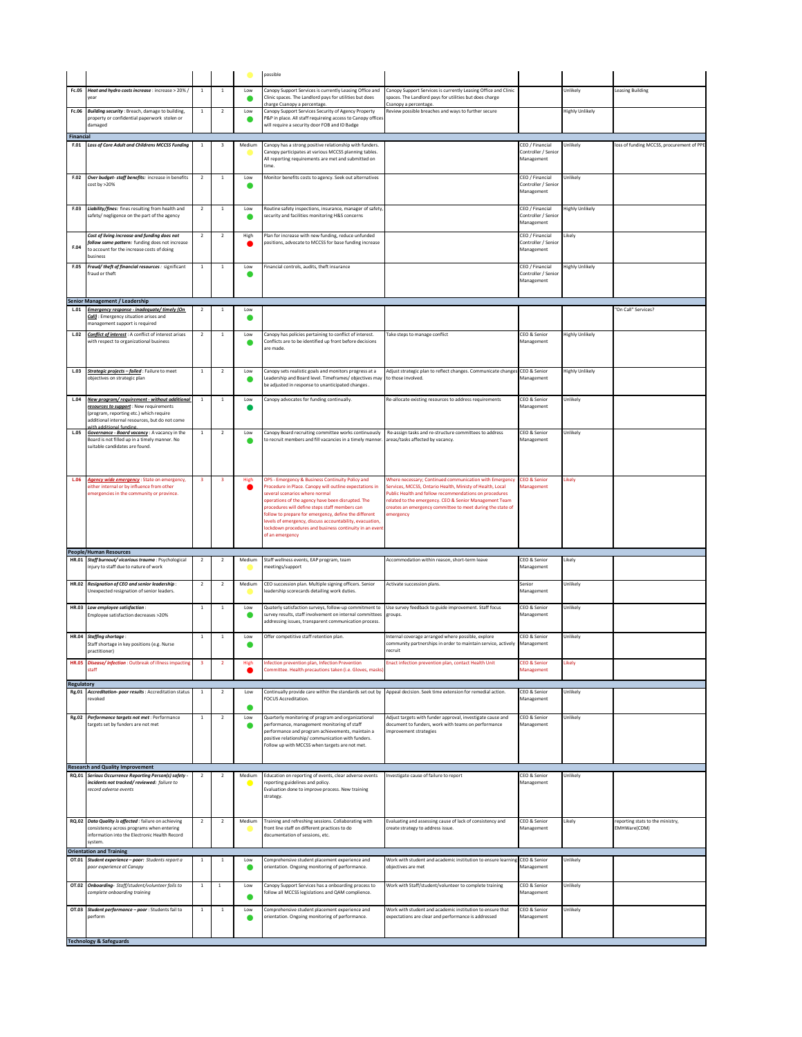|                   |                                                                                                                                                                                                                     |                         |                         |             | possible                                                                                                                                                                                                                                                                                                                                                                                                                                            |                                                                                                                                                                                                                                                                                                                   |                                                      |                        |                                                  |
|-------------------|---------------------------------------------------------------------------------------------------------------------------------------------------------------------------------------------------------------------|-------------------------|-------------------------|-------------|-----------------------------------------------------------------------------------------------------------------------------------------------------------------------------------------------------------------------------------------------------------------------------------------------------------------------------------------------------------------------------------------------------------------------------------------------------|-------------------------------------------------------------------------------------------------------------------------------------------------------------------------------------------------------------------------------------------------------------------------------------------------------------------|------------------------------------------------------|------------------------|--------------------------------------------------|
|                   | Fc.05 Heat and hydro costs increase : increase > 20% /                                                                                                                                                              | <sup>1</sup>            | $\mathbf{1}$            | Low         | Canopy Support Services is currently Leasing Office and<br>Clinic spaces. The Landlord pays for utilities but does<br>charge Csanopy a percentage.                                                                                                                                                                                                                                                                                                  | Canopy Support Services is currently Leasing Office and Clinic<br>spaces. The Landlord pays for utilities but does charge<br>Csanopy a percentage.                                                                                                                                                                |                                                      | Unlikely               | <b>Leasing Building</b>                          |
|                   | Fc.06 Building security : Breach, damage to building,<br>property or confidential paperwork stolen or<br>damaged                                                                                                    | $\overline{1}$          | $\overline{2}$          | Low<br>o    | Canopy Support Services Security of Agency Property<br>P&P in place. All staff requireing access to Canopy office<br>will require a security door FOB and ID Badge                                                                                                                                                                                                                                                                                  | Review possible breaches and ways to further secure                                                                                                                                                                                                                                                               |                                                      | <b>Highly Unlikely</b> |                                                  |
| Financial         | F.01 Loss of Core Adult and Childrens MCCSS Funding                                                                                                                                                                 | $\,$ 1                  | $\overline{\mathbf{3}}$ | Medium      | Canopy has a strong positive relationship with funders.<br>Canopy participates at various MCCSS planning tables.<br>All reporting requirements are met and submitted on<br>time.                                                                                                                                                                                                                                                                    |                                                                                                                                                                                                                                                                                                                   | CEO / Financial<br>Controller / Senior<br>Management | Unlikely               | loss of funding MCCSS, procurement of PPE        |
|                   | F.02 Over budget- staff benefits: increase in benefits<br>cost by >20%                                                                                                                                              | $\overline{2}$          | $\mathbf{1}$            | Low<br>o    | Monitor benefits costs to agency. Seek out alternatives                                                                                                                                                                                                                                                                                                                                                                                             |                                                                                                                                                                                                                                                                                                                   | CEO / Financial<br>Controller / Senior<br>Management | Unlikely               |                                                  |
|                   | F.03 Liability/fines: fines resulting from health and<br>safety/ negligence on the part of the agency                                                                                                               | $\overline{2}$          | $\overline{1}$          | Low         | Routine safety inspections, insurance, manager of safety,<br>security and facilities monitoring H&S concerns                                                                                                                                                                                                                                                                                                                                        |                                                                                                                                                                                                                                                                                                                   | CEO / Financial<br>Controller / Senior<br>Management | <b>Highly Unlikely</b> |                                                  |
| F.04              | Cost of living increase and funding does not<br>follow same pattern: funding does not increase<br>to account for the increase costs of doing<br>usiness                                                             | $\overline{2}$          | $\overline{2}$          | High        | Plan for increase with new funding, reduce unfunded<br>positions, advocate to MCCSS for base funding increase                                                                                                                                                                                                                                                                                                                                       |                                                                                                                                                                                                                                                                                                                   | CEO / Financial<br>Controller / Senior<br>Management | Likely                 |                                                  |
| F.05              | Fraud/theft of financial resources : significant<br>fraud or theft                                                                                                                                                  | $\,$ 1 $\,$             | $\mathbf{1}$            | Low         | Financial controls, audits, theft insurance                                                                                                                                                                                                                                                                                                                                                                                                         |                                                                                                                                                                                                                                                                                                                   | CEO / Financial<br>Controller / Senior<br>Management | <b>Highly Unlikely</b> |                                                  |
|                   | Senior Management / Leadership<br>L.01 Emergency response - inadequate/timely (On                                                                                                                                   | $\overline{2}$          | $\mathbf{1}$            | Low         |                                                                                                                                                                                                                                                                                                                                                                                                                                                     |                                                                                                                                                                                                                                                                                                                   |                                                      |                        | "On Call" Services?                              |
|                   | Call): Emergency situation arises and<br>nanagement support is required                                                                                                                                             |                         |                         |             |                                                                                                                                                                                                                                                                                                                                                                                                                                                     |                                                                                                                                                                                                                                                                                                                   |                                                      |                        |                                                  |
|                   | L.02 Conflict of interest: A conflict of interest arises<br>with respect to organizational business                                                                                                                 | $\overline{2}$          | <sup>1</sup>            | Low         | Canopy has policies pertaining to conflict of interest.<br>Conflicts are to be identified up front before decisions<br>are made.                                                                                                                                                                                                                                                                                                                    | Take steps to manage conflict                                                                                                                                                                                                                                                                                     | CEO & Senior<br>Management                           | <b>Highly Unlikely</b> |                                                  |
| L.03              | Strategic projects - failed : Failure to meet<br>objectives on strategic plan                                                                                                                                       | $\mathbf{1}$            | $\overline{2}$          | Low<br>o    | Canopy sets realistic goals and monitors progress at a<br>eadership and Board level. Timeframes/objectives may<br>be adjusted in response to unanticipated changes.                                                                                                                                                                                                                                                                                 | Adjust strategic plan to reflect changes. Communicate changes<br>to those involved.                                                                                                                                                                                                                               | CEO & Senior<br>Management                           | <b>Highly Unlikely</b> |                                                  |
|                   | L.04 New program/requirement - without additional<br>resources to support : New requirements<br>program, reporting etc.) which require<br>additional internal resources, but do not come<br>vith additional funding | $\mathbf{1}$            | <sup>1</sup>            | Low         | Canopy advocates for funding continually.                                                                                                                                                                                                                                                                                                                                                                                                           | Re-allocate existing resources to address requirements                                                                                                                                                                                                                                                            | CEO & Senior<br>Management                           | Unlikely               |                                                  |
|                   | L.05 Governance - Board vacancy: A vacancy in the<br>Board is not filled up in a timely manner. No<br>suitable candidates are found.                                                                                | $\mathbf{1}$            | $\overline{2}$          | Low         | Canopy Board recruiting committee works continuously<br>to recruit members and fill vacancies in a timely manner.                                                                                                                                                                                                                                                                                                                                   | Re-assign tasks and re-structure committees to address<br>areas/tasks affected by vacancy.                                                                                                                                                                                                                        | CEO & Senior<br>Management                           | Unlikely               |                                                  |
| L.06              | Agency wide emergency: State on emergency,<br>either internal or by influence from other<br>emergencies in the community or province.                                                                               | 3                       | $\overline{\mathbf{3}}$ | High        | OPS - Emergency & Business Continuity Policy and<br>Procedure in Place. Canopy will outline expectations in<br>everal scenarios where normal<br>operations of the agency have been disrupted. The<br>rocedures will define steps staff members can<br>follow to prepare for emergency, define the different<br>evels of emergency, discuss accountability, evacuation,<br>ockdown procedures and business continuity in an event<br>of an emergency | Where necessary; Continued communication with Emergency<br>Services, MCCSS, Ontario Health, Ministy of Health, Local<br>Public Health and follow recommendations on procedures<br>related to the emergency. CEO & Senior Management Team<br>reates an emergency committee to meet during the state of<br>nergency | <b>CEO &amp; Senior</b><br>Management                | Likely                 |                                                  |
|                   | <b>People/Human Resources</b><br>HR.01 Staff burnout/vicarious trauma : Psychological                                                                                                                               | $\overline{2}$          | 2                       | Medium      | Staff wellness events, EAP program, team                                                                                                                                                                                                                                                                                                                                                                                                            | Accommodation within reason, short-term leave                                                                                                                                                                                                                                                                     | CEO & Senior                                         | Likely                 |                                                  |
|                   | injury to staff due to nature of work<br>HR.02 Resignation of CEO and senior leadership:                                                                                                                            | $\overline{2}$          | $\overline{2}$          | Medium      | neetings/support<br>CEO succession plan. Multiple signing officers. Senior                                                                                                                                                                                                                                                                                                                                                                          | Activate succession plans.                                                                                                                                                                                                                                                                                        | Management<br>Senior                                 | Unlikely               |                                                  |
|                   |                                                                                                                                                                                                                     |                         |                         |             | leadership scorecards detailing work duties.                                                                                                                                                                                                                                                                                                                                                                                                        |                                                                                                                                                                                                                                                                                                                   | Management                                           | Unlikely               |                                                  |
|                   | Unexpected resignation of senior leaders.                                                                                                                                                                           | <sup>1</sup>            | $\mathbf{1}$            | Low         |                                                                                                                                                                                                                                                                                                                                                                                                                                                     |                                                                                                                                                                                                                                                                                                                   | CEO & Senior                                         |                        |                                                  |
|                   | HR.03 Low employee satisfaction:<br>Employee satisfaction decreases >20%                                                                                                                                            |                         |                         | o           | Quaterly satisfaction surveys, follow-up commitment to<br>survey results, staff involvement on internal committees<br>addressing issues, transparent communication process.                                                                                                                                                                                                                                                                         | Use survey feedback to guide improvement. Staff focus<br>groups.                                                                                                                                                                                                                                                  | Management                                           |                        |                                                  |
|                   | HR.04 Staffing shortage:<br>Staff shortage in key positions (e.g. Nurse<br>practitioner)                                                                                                                            | $\mathbf{1}$            | $\mathbf{1}$            | Low         | Offer competitive staff retention plan.                                                                                                                                                                                                                                                                                                                                                                                                             | Internal coverage arranged where possible, explore<br>community partnerships in order to maintain service, actively Management<br>recruit                                                                                                                                                                         | CEO & Senior                                         | Unlikely               |                                                  |
| <b>HR.05</b>      | Disease/infection: Outbreak of illness impacting<br>staff                                                                                                                                                           | $\overline{\mathbf{3}}$ | $\overline{2}$          | <b>High</b> | nfection prevention plan, Infection Prevention<br>Committee. Health precautions taken (i.e. Gloves, masks                                                                                                                                                                                                                                                                                                                                           | <b>Enact infection prevention plan, contact Health Unit</b>                                                                                                                                                                                                                                                       | <b>CEO &amp; Senior</b><br>Management                | ikely                  |                                                  |
| <b>Regulatory</b> | Rg.01 Accreditation- poor results : Accreditation status<br>revoked                                                                                                                                                 | $\overline{1}$          | $\overline{2}$          | Low         | FOCUS Accreditation.                                                                                                                                                                                                                                                                                                                                                                                                                                | Continually provide care within the standards set out by Appeal decision. Seek time extension for remedial action.                                                                                                                                                                                                | CEO & Senior<br>Management                           | Unlikely               |                                                  |
|                   | Rg.02 Performance targets not met : Performance<br>targets set by funders are not met                                                                                                                               | $\,$ 1                  | $\overline{2}$          | Low         | Quarterly monitoring of program and organizational<br>performance, management monitoring of staff<br>performance and program achievements, maintain a<br>positive relationship/ communication with funders.<br>Follow up with MCCSS when targets are not met.                                                                                                                                                                                       | Adjust targets with funder approval, investigate cause and<br>document to funders, work with teams on performance<br>nprovement strategies                                                                                                                                                                        | CEO & Senior<br>Management                           | Unlikely               |                                                  |
|                   | <b>Research and Quality Improvement</b><br>RQ.01 Serious Occurrence Reporting Person(s) safety -                                                                                                                    |                         |                         |             | Education on reporting of events, clear adverse events                                                                                                                                                                                                                                                                                                                                                                                              |                                                                                                                                                                                                                                                                                                                   | CEO & Senior                                         |                        |                                                  |
|                   | incidents not tracked/reviewed: failure to<br>record adverse events                                                                                                                                                 | $\overline{2}$          | $\overline{2}$          | Medium      | eporting guidelines and policy.<br>Evaluation done to improve process. New training<br>strategy.                                                                                                                                                                                                                                                                                                                                                    | Investigate cause of failure to report                                                                                                                                                                                                                                                                            | Management                                           | Unlikely               |                                                  |
|                   | RQ.02 Data Quality is affected : failure on achieving<br>consistency across programs when entering<br>information into the Electronic Health Record<br>system.                                                      | $\overline{2}$          | $\overline{2}$          | Medium      | Training and refreshing sessions. Collaborating with<br>front line staff on different practices to do<br>documentation of sessions, etc.                                                                                                                                                                                                                                                                                                            | Evaluating and assessing cause of lack of consistency and<br>create strategy to address issue.                                                                                                                                                                                                                    | CEO & Senior<br>Management                           | Likely                 | reporting stats to the ministry,<br>EMHWare(CDM) |
|                   | <b>Orientation and Training</b><br>OT.01 Student experience - poor: Students report a<br>poor experience at Canopy                                                                                                  | $\,$ 1                  | $\mathbf 1$             | Low<br>●    | Comprehensive student placement experience and<br>orientation. Ongoing monitoring of performance.                                                                                                                                                                                                                                                                                                                                                   | Work with student and academic institution to ensure learning CEO & Senior<br>objectives are met                                                                                                                                                                                                                  | Management                                           | Unlikely               |                                                  |
|                   | OT.02 Onboarding- Staff/student/volunteer fails to<br>omplete onboarding training                                                                                                                                   | $\,$ 1                  | $1\,$                   | Low<br>0    | Canopy Support Services has a onboarding process to<br>ollow all MCCSS legislations and QAM complience.                                                                                                                                                                                                                                                                                                                                             | Work with Staff/student/volunteer to complete training                                                                                                                                                                                                                                                            | CEO & Senior<br>Management                           | Unlikely               |                                                  |
|                   | OT.03 Student performance - poor : Students fail to<br>oerform                                                                                                                                                      | $\mathbf{1}$            | $\mathbf{1}$            | Low<br>œ    | Comprehensive student placement experience and<br>prientation. Ongoing monitoring of performance.                                                                                                                                                                                                                                                                                                                                                   | Work with student and academic institution to ensure that<br>xpectations are clear and performance is addressed                                                                                                                                                                                                   | CEO & Senior<br>Management                           | Unlikely               |                                                  |